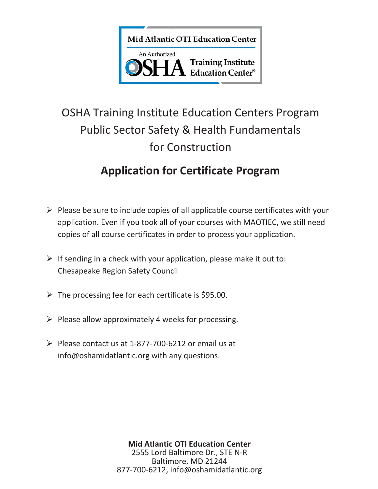

# OSHA Training Institute Education Centers Program Public Sector Safety & Health Fundamentals for Construction

## **Application for Certificate Program**

- $\triangleright$  Please be sure to include copies of all applicable course certificates with your application. Even if you took all of your courses with MAOTIEC, we still need copies of all course certificates in order to process your application.
- $\triangleright$  If sending in a check with your application, please make it out to: Chesapeake Region Safety Council
- $\triangleright$  The processing fee for each certificate is \$95.00.
- $\triangleright$  Please allow approximately 4 weeks for processing.
- $\triangleright$  Please contact us at 1-877-700-6212 or email us at info@oshamidatlantic.org with any questions.

**Mid Atlantic OTI Education Center** 2555 Lord Baltimore Dr., STE N-R Baltimore, MD 21244 877-700-6212, info@oshamidatlantic.org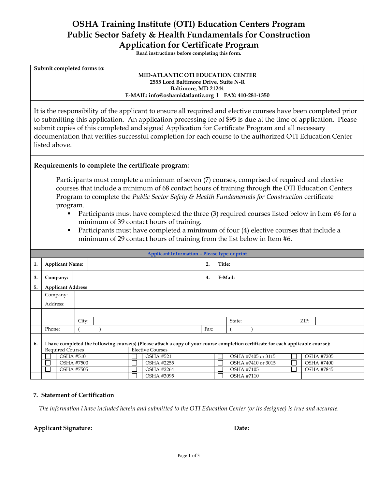### **OSHA Training Institute (OTI) Education Centers Program Public Sector Safety & Health Fundamentals for Construction Application for Certificate Program**

**Read instructions before completing this form.** 

| Submit completed forms to:           |                                                      |  |  |  |  |  |  |
|--------------------------------------|------------------------------------------------------|--|--|--|--|--|--|
|                                      | <b>MID-ATLANTIC OTI EDUCATION CENTER</b>             |  |  |  |  |  |  |
| 2555 Lord Baltimore Drive, Suite N-R |                                                      |  |  |  |  |  |  |
| Baltimore, MD 21244                  |                                                      |  |  |  |  |  |  |
|                                      | E-MAIL: info@oshamidatlantic.org 1 FAX: 410-281-1350 |  |  |  |  |  |  |
|                                      |                                                      |  |  |  |  |  |  |

It is the responsibility of the applicant to ensure all required and elective courses have been completed prior to submitting this application. An application processing fee of \$95 is due at the time of application. Please submit copies of this completed and signed Application for Certificate Program and all necessary documentation that verifies successful completion for each course to the authorized OTI Education Center listed above.

#### **Requirements to complete the certificate program:**

Participants must complete a minimum of seven (7) courses, comprised of required and elective courses that include a minimum of 68 contact hours of training through the OTI Education Centers Program to complete the *Public Sector Safety & Health Fundamentals for Construction* certificate program.

- Participants must have completed the three (3) required courses listed below in Item #6 for a minimum of 39 contact hours of training.
- Participants must have completed a minimum of four (4) elective courses that include a minimum of 29 contact hours of training from the list below in Item #6.

|    | <b>Applicant Information - Please type or print</b>                                                                               |       |  |                                       |                         |    |                   |                    |  |  |                   |                   |
|----|-----------------------------------------------------------------------------------------------------------------------------------|-------|--|---------------------------------------|-------------------------|----|-------------------|--------------------|--|--|-------------------|-------------------|
| 1. | <b>Applicant Name:</b>                                                                                                            |       |  |                                       |                         | 2. | Title:            |                    |  |  |                   |                   |
| 3. | Company:                                                                                                                          |       |  |                                       |                         | 4. | E-Mail:           |                    |  |  |                   |                   |
| 5. | <b>Applicant Address</b>                                                                                                          |       |  |                                       |                         |    |                   |                    |  |  |                   |                   |
|    | Company:                                                                                                                          |       |  |                                       |                         |    |                   |                    |  |  |                   |                   |
|    | Address:                                                                                                                          |       |  |                                       |                         |    |                   |                    |  |  |                   |                   |
|    |                                                                                                                                   |       |  |                                       |                         |    |                   |                    |  |  |                   |                   |
|    |                                                                                                                                   | City: |  |                                       |                         |    |                   | State:             |  |  | ZIP:              |                   |
|    | Phone:                                                                                                                            |       |  |                                       |                         |    | Fax:              |                    |  |  |                   |                   |
| 6. | I have completed the following course(s) (Please attach a copy of your course completion certificate for each applicable course): |       |  |                                       |                         |    |                   |                    |  |  |                   |                   |
|    | <b>Required Courses</b>                                                                                                           |       |  |                                       | <b>Elective Courses</b> |    |                   |                    |  |  |                   |                   |
|    | <b>OSHA #510</b><br><b>OSHA #7500</b>                                                                                             |       |  | <b>OSHA #521</b><br><b>OSHA #2255</b> |                         |    |                   | OSHA #7405 or 3115 |  |  |                   | <b>OSHA #7205</b> |
|    |                                                                                                                                   |       |  |                                       |                         |    |                   | OSHA #7410 or 3015 |  |  |                   | <b>OSHA #7400</b> |
|    | <b>OSHA #7505</b>                                                                                                                 |       |  | <b>OSHA #2264</b>                     |                         |    | <b>OSHA #7105</b> |                    |  |  | <b>OSHA #7845</b> |                   |
|    |                                                                                                                                   |       |  |                                       | OSHA #3095              |    |                   | <b>OSHA #7110</b>  |  |  |                   |                   |

#### **7. Statement of Certification**

*The information I have included herein and submitted to the OTI Education Center (or its designee) is true and accurate.* 

**Applicant Signature: Date:**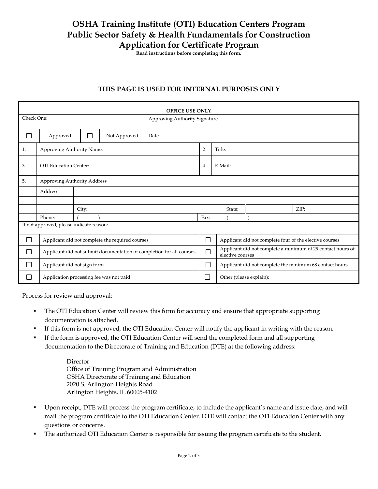## **OSHA Training Institute (OTI) Education Centers Program Public Sector Safety & Health Fundamentals for Construction Application for Certificate Program**

**Read instructions before completing this form.** 

#### **THIS PAGE IS USED FOR INTERNAL PURPOSES ONLY**

| <b>OFFICE USE ONLY</b>      |                                                                      |       |              |                               |      |  |                                                                                 |  |      |  |  |
|-----------------------------|----------------------------------------------------------------------|-------|--------------|-------------------------------|------|--|---------------------------------------------------------------------------------|--|------|--|--|
| Check One:                  |                                                                      |       |              | Approving Authority Signature |      |  |                                                                                 |  |      |  |  |
| $\mathcal{L}_{\mathcal{A}}$ | Approved                                                             | П     | Not Approved | Date                          |      |  |                                                                                 |  |      |  |  |
| 1.                          | Approving Authority Name:                                            |       |              |                               |      |  | Title:                                                                          |  |      |  |  |
| 3.                          | OTI Education Center:                                                |       |              |                               |      |  | E-Mail:                                                                         |  |      |  |  |
| 5.                          | Approving Authority Address                                          |       |              |                               |      |  |                                                                                 |  |      |  |  |
|                             | Address:                                                             |       |              |                               |      |  |                                                                                 |  |      |  |  |
|                             |                                                                      |       |              |                               |      |  |                                                                                 |  |      |  |  |
|                             |                                                                      | City: |              |                               |      |  | State:                                                                          |  | ZIP: |  |  |
|                             | Phone:                                                               |       |              |                               | Fax: |  |                                                                                 |  |      |  |  |
|                             | If not approved, please indicate reason:                             |       |              |                               |      |  |                                                                                 |  |      |  |  |
| $\mathbb{Z}^{\mathbb{Z}}$   | Applicant did not complete the required courses                      |       |              |                               |      |  | Applicant did not complete four of the elective courses                         |  |      |  |  |
|                             | Applicant did not submit documentation of completion for all courses |       |              |                               |      |  | Applicant did not complete a minimum of 29 contact hours of<br>elective courses |  |      |  |  |
|                             | Applicant did not sign form                                          |       |              |                               |      |  | Applicant did not complete the minimum 68 contact hours                         |  |      |  |  |
|                             | Application processing fee was not paid                              |       |              |                               |      |  | Other (please explain):                                                         |  |      |  |  |

Process for review and approval:

- The OTI Education Center will review this form for accuracy and ensure that appropriate supporting documentation is attached.
- If this form is not approved, the OTI Education Center will notify the applicant in writing with the reason.
- If the form is approved, the OTI Education Center will send the completed form and all supporting documentation to the Directorate of Training and Education (DTE) at the following address:

Director Office of Training Program and Administration OSHA Directorate of Training and Education 2020 S. Arlington Heights Road Arlington Heights, IL 60005-4102

- Upon receipt, DTE will process the program certificate, to include the applicant's name and issue date, and will mail the program certificate to the OTI Education Center. DTE will contact the OTI Education Center with any questions or concerns.
- The authorized OTI Education Center is responsible for issuing the program certificate to the student.